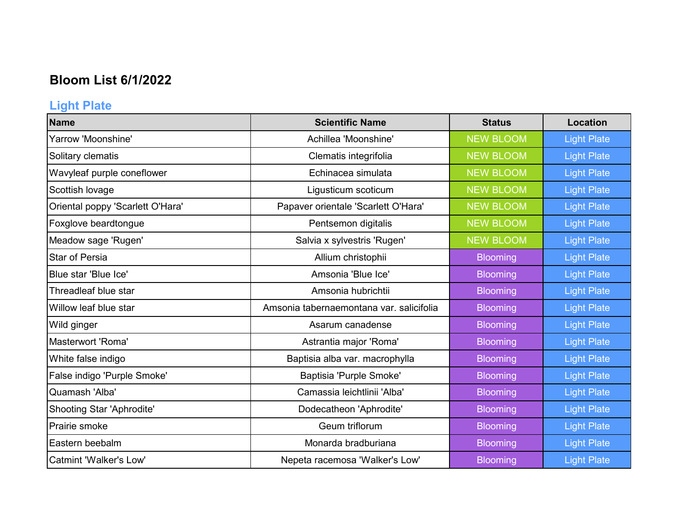# **Bloom List 6/1/2022**

# **Light Plate**

| <b>Name</b>                      | <b>Scientific Name</b>                   | <b>Status</b>    | Location           |
|----------------------------------|------------------------------------------|------------------|--------------------|
| Yarrow 'Moonshine'               | Achillea 'Moonshine'                     | <b>NEW BLOOM</b> | <b>Light Plate</b> |
| Solitary clematis                | Clematis integrifolia                    | <b>NEW BLOOM</b> | <b>Light Plate</b> |
| Wavyleaf purple coneflower       | Echinacea simulata                       | <b>NEW BLOOM</b> | <b>Light Plate</b> |
| Scottish lovage                  | Ligusticum scoticum                      | <b>NEW BLOOM</b> | <b>Light Plate</b> |
| Oriental poppy 'Scarlett O'Hara' | Papaver orientale 'Scarlett O'Hara'      | <b>NEW BLOOM</b> | <b>Light Plate</b> |
| Foxglove beardtongue             | Pentsemon digitalis                      | <b>NEW BLOOM</b> | <b>Light Plate</b> |
| Meadow sage 'Rugen'              | Salvia x sylvestris 'Rugen'              | <b>NEW BLOOM</b> | <b>Light Plate</b> |
| <b>Star of Persia</b>            | Allium christophii                       | <b>Blooming</b>  | <b>Light Plate</b> |
| Blue star 'Blue Ice'             | Amsonia 'Blue Ice'                       | <b>Blooming</b>  | <b>Light Plate</b> |
| Threadleaf blue star             | Amsonia hubrichtii                       | <b>Blooming</b>  | <b>Light Plate</b> |
| Willow leaf blue star            | Amsonia tabernaemontana var. salicifolia | <b>Blooming</b>  | <b>Light Plate</b> |
| Wild ginger                      | Asarum canadense                         | <b>Blooming</b>  | <b>Light Plate</b> |
| Masterwort 'Roma'                | Astrantia major 'Roma'                   | <b>Blooming</b>  | <b>Light Plate</b> |
| White false indigo               | Baptisia alba var. macrophylla           | <b>Blooming</b>  | <b>Light Plate</b> |
| False indigo 'Purple Smoke'      | Baptisia 'Purple Smoke'                  | <b>Blooming</b>  | <b>Light Plate</b> |
| Quamash 'Alba'                   | Camassia leichtlinii 'Alba'              | <b>Blooming</b>  | <b>Light Plate</b> |
| Shooting Star 'Aphrodite'        | Dodecatheon 'Aphrodite'                  | <b>Blooming</b>  | <b>Light Plate</b> |
| Prairie smoke                    | Geum triflorum                           | <b>Blooming</b>  | <b>Light Plate</b> |
| Eastern beebalm                  | Monarda bradburiana                      | <b>Blooming</b>  | <b>Light Plate</b> |
| <b>Catmint 'Walker's Low'</b>    | Nepeta racemosa 'Walker's Low'           | <b>Blooming</b>  | <b>Light Plate</b> |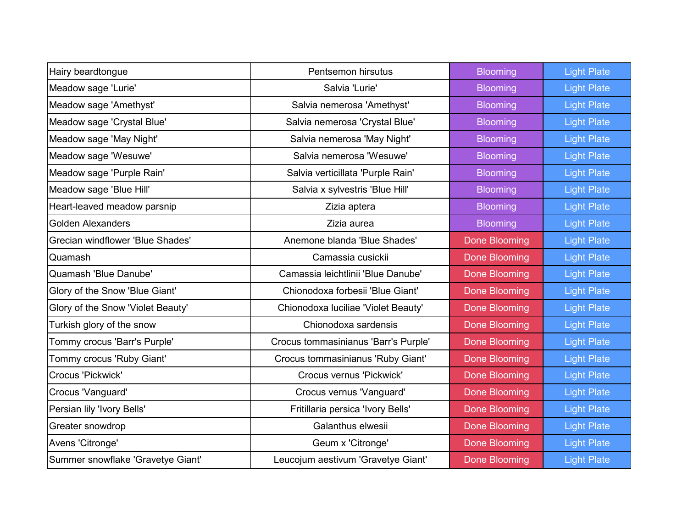| Hairy beardtongue                 | Pentsemon hirsutus                   | <b>Blooming</b>      | <b>Light Plate</b> |
|-----------------------------------|--------------------------------------|----------------------|--------------------|
| Meadow sage 'Lurie'               | Salvia 'Lurie'                       | <b>Blooming</b>      | <b>Light Plate</b> |
| Meadow sage 'Amethyst'            | Salvia nemerosa 'Amethyst'           | <b>Blooming</b>      | <b>Light Plate</b> |
| Meadow sage 'Crystal Blue'        | Salvia nemerosa 'Crystal Blue'       | <b>Blooming</b>      | <b>Light Plate</b> |
| Meadow sage 'May Night'           | Salvia nemerosa 'May Night'          | <b>Blooming</b>      | <b>Light Plate</b> |
| Meadow sage 'Wesuwe'              | Salvia nemerosa 'Wesuwe'             | <b>Blooming</b>      | <b>Light Plate</b> |
| Meadow sage 'Purple Rain'         | Salvia verticillata 'Purple Rain'    | <b>Blooming</b>      | <b>Light Plate</b> |
| Meadow sage 'Blue Hill'           | Salvia x sylvestris 'Blue Hill'      | <b>Blooming</b>      | <b>Light Plate</b> |
| Heart-leaved meadow parsnip       | Zizia aptera                         | <b>Blooming</b>      | <b>Light Plate</b> |
| Golden Alexanders                 | Zizia aurea                          | <b>Blooming</b>      | <b>Light Plate</b> |
| Grecian windflower 'Blue Shades'  | Anemone blanda 'Blue Shades'         | <b>Done Blooming</b> | <b>Light Plate</b> |
| Quamash                           | Camassia cusickii                    | <b>Done Blooming</b> | <b>Light Plate</b> |
| Quamash 'Blue Danube'             | Camassia leichtlinii 'Blue Danube'   | <b>Done Blooming</b> | <b>Light Plate</b> |
| Glory of the Snow 'Blue Giant'    | Chionodoxa forbesii 'Blue Giant'     | <b>Done Blooming</b> | <b>Light Plate</b> |
| Glory of the Snow 'Violet Beauty' | Chionodoxa luciliae 'Violet Beauty'  | <b>Done Blooming</b> | <b>Light Plate</b> |
| Turkish glory of the snow         | Chionodoxa sardensis                 | <b>Done Blooming</b> | <b>Light Plate</b> |
| Tommy crocus 'Barr's Purple'      | Crocus tommasinianus 'Barr's Purple' | <b>Done Blooming</b> | <b>Light Plate</b> |
| Tommy crocus 'Ruby Giant'         | Crocus tommasinianus 'Ruby Giant'    | <b>Done Blooming</b> | <b>Light Plate</b> |
| Crocus 'Pickwick'                 | Crocus vernus 'Pickwick'             | <b>Done Blooming</b> | <b>Light Plate</b> |
| Crocus 'Vanguard'                 | Crocus vernus 'Vanguard'             | Done Blooming        | <b>Light Plate</b> |
| Persian lily 'Ivory Bells'        | Fritillaria persica 'Ivory Bells'    | <b>Done Blooming</b> | <b>Light Plate</b> |
| Greater snowdrop                  | Galanthus elwesii                    | <b>Done Blooming</b> | <b>Light Plate</b> |
| Avens 'Citronge'                  | Geum x 'Citronge'                    | <b>Done Blooming</b> | <b>Light Plate</b> |
| Summer snowflake 'Gravetye Giant' | Leucojum aestivum 'Gravetye Giant'   | <b>Done Blooming</b> | <b>Light Plate</b> |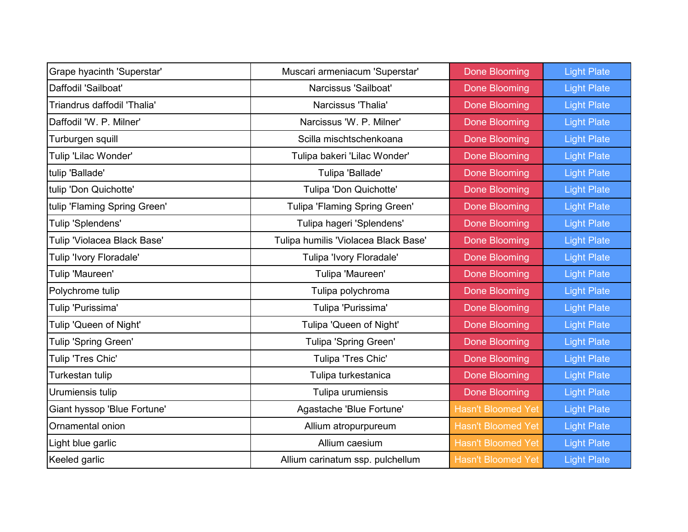| Grape hyacinth 'Superstar'   | Muscari armeniacum 'Superstar'       | <b>Done Blooming</b>      | <b>Light Plate</b> |
|------------------------------|--------------------------------------|---------------------------|--------------------|
| Daffodil 'Sailboat'          | Narcissus 'Sailboat'                 | <b>Done Blooming</b>      | <b>Light Plate</b> |
| Triandrus daffodil 'Thalia'  | Narcissus 'Thalia'                   | Done Blooming             | <b>Light Plate</b> |
| Daffodil 'W. P. Milner'      | Narcissus 'W. P. Milner'             | Done Blooming             | <b>Light Plate</b> |
| Turburgen squill             | Scilla mischtschenkoana              | <b>Done Blooming</b>      | <b>Light Plate</b> |
| Tulip 'Lilac Wonder'         | Tulipa bakeri 'Lilac Wonder'         | <b>Done Blooming</b>      | <b>Light Plate</b> |
| tulip 'Ballade'              | Tulipa 'Ballade'                     | Done Blooming             | <b>Light Plate</b> |
| tulip 'Don Quichotte'        | Tulipa 'Don Quichotte'               | <b>Done Blooming</b>      | <b>Light Plate</b> |
| tulip 'Flaming Spring Green' | Tulipa 'Flaming Spring Green'        | Done Blooming             | <b>Light Plate</b> |
| Tulip 'Splendens'            | Tulipa hageri 'Splendens'            | <b>Done Blooming</b>      | <b>Light Plate</b> |
| Tulip 'Violacea Black Base'  | Tulipa humilis 'Violacea Black Base' | <b>Done Blooming</b>      | <b>Light Plate</b> |
| Tulip 'Ivory Floradale'      | Tulipa 'Ivory Floradale'             | <b>Done Blooming</b>      | <b>Light Plate</b> |
| Tulip 'Maureen'              | Tulipa 'Maureen'                     | <b>Done Blooming</b>      | <b>Light Plate</b> |
| Polychrome tulip             | Tulipa polychroma                    | <b>Done Blooming</b>      | <b>Light Plate</b> |
| Tulip 'Purissima'            | Tulipa 'Purissima'                   | <b>Done Blooming</b>      | <b>Light Plate</b> |
| Tulip 'Queen of Night'       | Tulipa 'Queen of Night'              | Done Blooming             | <b>Light Plate</b> |
| Tulip 'Spring Green'         | Tulipa 'Spring Green'                | Done Blooming             | <b>Light Plate</b> |
| Tulip 'Tres Chic'            | Tulipa 'Tres Chic'                   | <b>Done Blooming</b>      | <b>Light Plate</b> |
| Turkestan tulip              | Tulipa turkestanica                  | <b>Done Blooming</b>      | <b>Light Plate</b> |
| Urumiensis tulip             | Tulipa urumiensis                    | Done Blooming             | <b>Light Plate</b> |
| Giant hyssop 'Blue Fortune'  | Agastache 'Blue Fortune'             | <b>Hasn't Bloomed Yet</b> | <b>Light Plate</b> |
| Ornamental onion             | Allium atropurpureum                 | <b>Hasn't Bloomed Yet</b> | <b>Light Plate</b> |
| Light blue garlic            | Allium caesium                       | <b>Hasn't Bloomed Yet</b> | <b>Light Plate</b> |
| Keeled garlic                | Allium carinatum ssp. pulchellum     | <b>Hasn't Bloomed Yet</b> | <b>Light Plate</b> |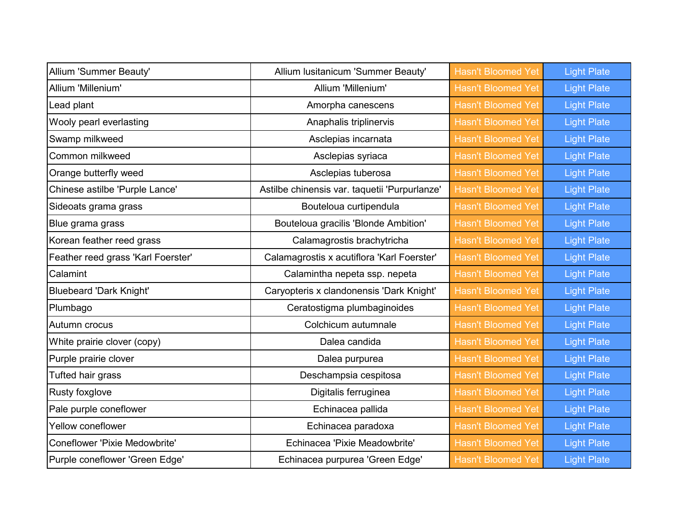| <b>Allium 'Summer Beauty'</b>        | Allium Iusitanicum 'Summer Beauty'            | <b>Hasn't Bloomed Yet</b> | <b>Light Plate</b> |
|--------------------------------------|-----------------------------------------------|---------------------------|--------------------|
| Allium 'Millenium'                   | Allium 'Millenium'                            | <b>Hasn't Bloomed Yet</b> | <b>Light Plate</b> |
| Lead plant                           | Amorpha canescens                             | <b>Hasn't Bloomed Yet</b> | <b>Light Plate</b> |
| Wooly pearl everlasting              | Anaphalis triplinervis                        | <b>Hasn't Bloomed Yet</b> | <b>Light Plate</b> |
| Swamp milkweed                       | Asclepias incarnata                           | <b>Hasn't Bloomed Yet</b> | <b>Light Plate</b> |
| Common milkweed                      | Asclepias syriaca                             | <b>Hasn't Bloomed Yet</b> | <b>Light Plate</b> |
| Orange butterfly weed                | Asclepias tuberosa                            | <b>Hasn't Bloomed Yet</b> | <b>Light Plate</b> |
| Chinese astilbe 'Purple Lance'       | Astilbe chinensis var. taquetii 'Purpurlanze' | <b>Hasn't Bloomed Yet</b> | <b>Light Plate</b> |
| Sideoats grama grass                 | Bouteloua curtipendula                        | <b>Hasn't Bloomed Yet</b> | <b>Light Plate</b> |
| Blue grama grass                     | Bouteloua gracilis 'Blonde Ambition'          | <b>Hasn't Bloomed Yet</b> | <b>Light Plate</b> |
| Korean feather reed grass            | Calamagrostis brachytricha                    | <b>Hasn't Bloomed Yet</b> | <b>Light Plate</b> |
| Feather reed grass 'Karl Foerster'   | Calamagrostis x acutiflora 'Karl Foerster'    | <b>Hasn't Bloomed Yet</b> | <b>Light Plate</b> |
| Calamint                             | Calamintha nepeta ssp. nepeta                 | <b>Hasn't Bloomed Yet</b> | <b>Light Plate</b> |
| <b>Bluebeard 'Dark Knight'</b>       | Caryopteris x clandonensis 'Dark Knight'      | <b>Hasn't Bloomed Yet</b> | <b>Light Plate</b> |
| Plumbago                             | Ceratostigma plumbaginoides                   | <b>Hasn't Bloomed Yet</b> | <b>Light Plate</b> |
| Autumn crocus                        | Colchicum autumnale                           | <b>Hasn't Bloomed Yet</b> | <b>Light Plate</b> |
| White prairie clover (copy)          | Dalea candida                                 | <b>Hasn't Bloomed Yet</b> | <b>Light Plate</b> |
| Purple prairie clover                | Dalea purpurea                                | <b>Hasn't Bloomed Yet</b> | <b>Light Plate</b> |
| Tufted hair grass                    | Deschampsia cespitosa                         | <b>Hasn't Bloomed Yet</b> | <b>Light Plate</b> |
| Rusty foxglove                       | Digitalis ferruginea                          | <b>Hasn't Bloomed Yet</b> | <b>Light Plate</b> |
| Pale purple coneflower               | Echinacea pallida                             | <b>Hasn't Bloomed Yet</b> | <b>Light Plate</b> |
| Yellow coneflower                    | Echinacea paradoxa                            | <b>Hasn't Bloomed Yet</b> | <b>Light Plate</b> |
| <b>Coneflower 'Pixie Medowbrite'</b> | Echinacea 'Pixie Meadowbrite'                 | <b>Hasn't Bloomed Yet</b> | <b>Light Plate</b> |
| Purple coneflower 'Green Edge'       | Echinacea purpurea 'Green Edge'               | <b>Hasn't Bloomed Yet</b> | <b>Light Plate</b> |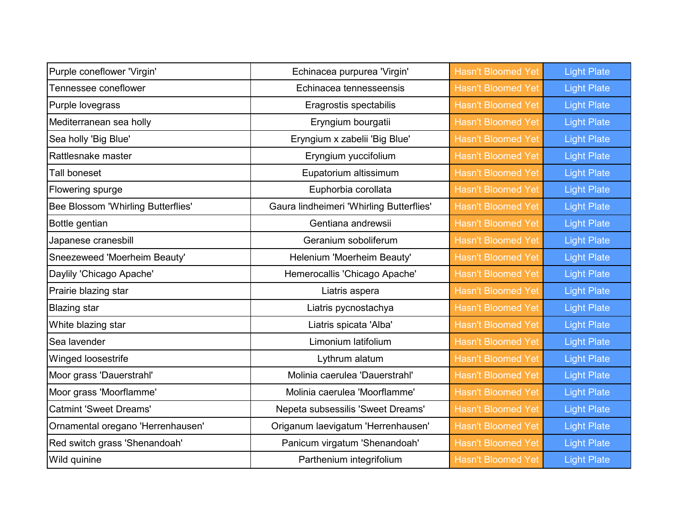| Purple coneflower 'Virgin'         | Echinacea purpurea 'Virgin'              | <b>Hasn't Bloomed Yet</b> | <b>Light Plate</b> |
|------------------------------------|------------------------------------------|---------------------------|--------------------|
| Tennessee coneflower               | Echinacea tennesseensis                  | <b>Hasn't Bloomed Yet</b> | <b>Light Plate</b> |
| Purple lovegrass                   | Eragrostis spectabilis                   | <b>Hasn't Bloomed Yet</b> | <b>Light Plate</b> |
| Mediterranean sea holly            | Eryngium bourgatii                       | <b>Hasn't Bloomed Yet</b> | <b>Light Plate</b> |
| Sea holly 'Big Blue'               | Eryngium x zabelii 'Big Blue'            | <b>Hasn't Bloomed Yet</b> | <b>Light Plate</b> |
| Rattlesnake master                 | Eryngium yuccifolium                     | <b>Hasn't Bloomed Yet</b> | <b>Light Plate</b> |
| Tall boneset                       | Eupatorium altissimum                    | <b>Hasn't Bloomed Yet</b> | <b>Light Plate</b> |
| Flowering spurge                   | Euphorbia corollata                      | <b>Hasn't Bloomed Yet</b> | <b>Light Plate</b> |
| Bee Blossom 'Whirling Butterflies' | Gaura lindheimeri 'Whirling Butterflies' | <b>Hasn't Bloomed Yet</b> | <b>Light Plate</b> |
| Bottle gentian                     | Gentiana andrewsii                       | <b>Hasn't Bloomed Yet</b> | <b>Light Plate</b> |
| Japanese cranesbill                | Geranium soboliferum                     | <b>Hasn't Bloomed Yet</b> | <b>Light Plate</b> |
| Sneezeweed 'Moerheim Beauty'       | Helenium 'Moerheim Beauty'               | <b>Hasn't Bloomed Yet</b> | <b>Light Plate</b> |
| Daylily 'Chicago Apache'           | Hemerocallis 'Chicago Apache'            | <b>Hasn't Bloomed Yet</b> | <b>Light Plate</b> |
| Prairie blazing star               | Liatris aspera                           | <b>Hasn't Bloomed Yet</b> | <b>Light Plate</b> |
| <b>Blazing star</b>                | Liatris pycnostachya                     | <b>Hasn't Bloomed Yet</b> | <b>Light Plate</b> |
| White blazing star                 | Liatris spicata 'Alba'                   | <b>Hasn't Bloomed Yet</b> | <b>Light Plate</b> |
| Sea lavender                       | Limonium latifolium                      | <b>Hasn't Bloomed Yet</b> | <b>Light Plate</b> |
| Winged loosestrife                 | Lythrum alatum                           | <b>Hasn't Bloomed Yet</b> | <b>Light Plate</b> |
| Moor grass 'Dauerstrahl'           | Molinia caerulea 'Dauerstrahl'           | <b>Hasn't Bloomed Yet</b> | <b>Light Plate</b> |
| Moor grass 'Moorflamme'            | Molinia caerulea 'Moorflamme'            | <b>Hasn't Bloomed Yet</b> | <b>Light Plate</b> |
| <b>Catmint 'Sweet Dreams'</b>      | Nepeta subsessilis 'Sweet Dreams'        | <b>Hasn't Bloomed Yet</b> | <b>Light Plate</b> |
| Ornamental oregano 'Herrenhausen'  | Origanum laevigatum 'Herrenhausen'       | <b>Hasn't Bloomed Yet</b> | <b>Light Plate</b> |
| Red switch grass 'Shenandoah'      | Panicum virgatum 'Shenandoah'            | <b>Hasn't Bloomed Yet</b> | <b>Light Plate</b> |
| Wild quinine                       | Parthenium integrifolium                 | <b>Hasn't Bloomed Yet</b> | <b>Light Plate</b> |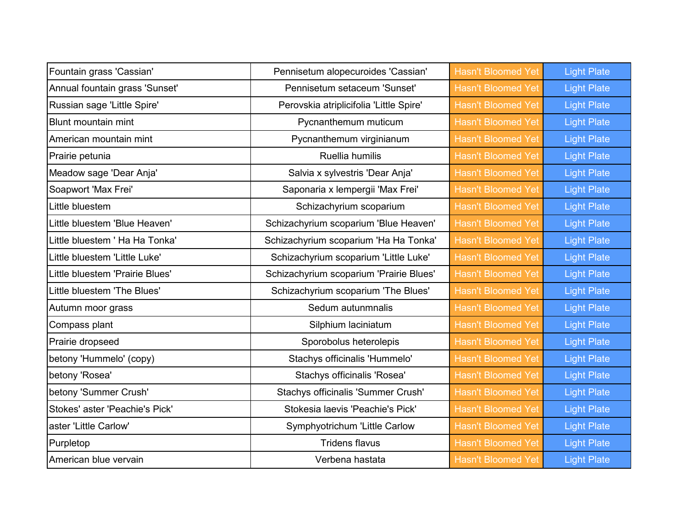| Fountain grass 'Cassian'        | Pennisetum alopecuroides 'Cassian'      | <b>Hasn't Bloomed Yet</b> | <b>Light Plate</b> |
|---------------------------------|-----------------------------------------|---------------------------|--------------------|
| Annual fountain grass 'Sunset'  | Pennisetum setaceum 'Sunset'            | <b>Hasn't Bloomed Yet</b> | <b>Light Plate</b> |
| Russian sage 'Little Spire'     | Perovskia atriplicifolia 'Little Spire' | <b>Hasn't Bloomed Yet</b> | <b>Light Plate</b> |
| <b>Blunt mountain mint</b>      | Pycnanthemum muticum                    | <b>Hasn't Bloomed Yet</b> | <b>Light Plate</b> |
| American mountain mint          | Pycnanthemum virginianum                | <b>Hasn't Bloomed Yet</b> | <b>Light Plate</b> |
| Prairie petunia                 | <b>Ruellia humilis</b>                  | <b>Hasn't Bloomed Yet</b> | <b>Light Plate</b> |
| Meadow sage 'Dear Anja'         | Salvia x sylvestris 'Dear Anja'         | <b>Hasn't Bloomed Yet</b> | <b>Light Plate</b> |
| Soapwort 'Max Frei'             | Saponaria x lempergii 'Max Frei'        | <b>Hasn't Bloomed Yet</b> | <b>Light Plate</b> |
| Little bluestem                 | Schizachyrium scoparium                 | <b>Hasn't Bloomed Yet</b> | <b>Light Plate</b> |
| Little bluestem 'Blue Heaven'   | Schizachyrium scoparium 'Blue Heaven'   | <b>Hasn't Bloomed Yet</b> | <b>Light Plate</b> |
| Little bluestem ' Ha Ha Tonka'  | Schizachyrium scoparium 'Ha Ha Tonka'   | <b>Hasn't Bloomed Yet</b> | <b>Light Plate</b> |
| Little bluestem 'Little Luke'   | Schizachyrium scoparium 'Little Luke'   | <b>Hasn't Bloomed Yet</b> | <b>Light Plate</b> |
| Little bluestem 'Prairie Blues' | Schizachyrium scoparium 'Prairie Blues' | <b>Hasn't Bloomed Yet</b> | <b>Light Plate</b> |
| Little bluestem 'The Blues'     | Schizachyrium scoparium 'The Blues'     | <b>Hasn't Bloomed Yet</b> | <b>Light Plate</b> |
| Autumn moor grass               | Sedum autunmnalis                       | <b>Hasn't Bloomed Yet</b> | <b>Light Plate</b> |
| Compass plant                   | Silphium laciniatum                     | <b>Hasn't Bloomed Yet</b> | <b>Light Plate</b> |
| Prairie dropseed                | Sporobolus heterolepis                  | <b>Hasn't Bloomed Yet</b> | <b>Light Plate</b> |
| betony 'Hummelo' (copy)         | Stachys officinalis 'Hummelo'           | <b>Hasn't Bloomed Yet</b> | <b>Light Plate</b> |
| betony 'Rosea'                  | Stachys officinalis 'Rosea'             | <b>Hasn't Bloomed Yet</b> | <b>Light Plate</b> |
| betony 'Summer Crush'           | Stachys officinalis 'Summer Crush'      | <b>Hasn't Bloomed Yet</b> | <b>Light Plate</b> |
| Stokes' aster 'Peachie's Pick'  | Stokesia laevis 'Peachie's Pick'        | <b>Hasn't Bloomed Yet</b> | <b>Light Plate</b> |
| aster 'Little Carlow'           | Symphyotrichum 'Little Carlow           | <b>Hasn't Bloomed Yet</b> | <b>Light Plate</b> |
| Purpletop                       | <b>Tridens flavus</b>                   | <b>Hasn't Bloomed Yet</b> | <b>Light Plate</b> |
| American blue vervain           | Verbena hastata                         | <b>Hasn't Bloomed Yet</b> | <b>Light Plate</b> |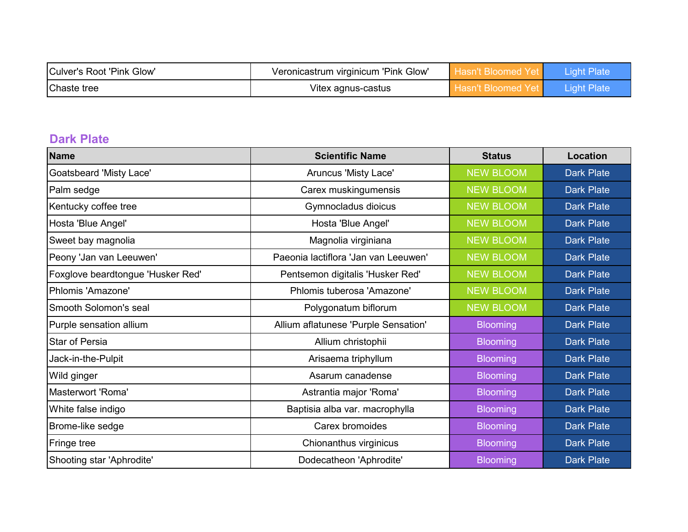| Culver's Root 'Pink Glow' | Veronicastrum virginicum 'Pink Glow' |  |
|---------------------------|--------------------------------------|--|
| Chaste tree               | Vitex agnus-castus                   |  |

### **Dark Plate**

| <b>Name</b>                       | <b>Scientific Name</b>               | <b>Status</b>    | <b>Location</b>   |
|-----------------------------------|--------------------------------------|------------------|-------------------|
| Goatsbeard 'Misty Lace'           | Aruncus 'Misty Lace'                 | <b>NEW BLOOM</b> | <b>Dark Plate</b> |
| Palm sedge                        | Carex muskingumensis                 | <b>NEW BLOOM</b> | <b>Dark Plate</b> |
| Kentucky coffee tree              | Gymnocladus dioicus                  | <b>NEW BLOOM</b> | <b>Dark Plate</b> |
| Hosta 'Blue Angel'                | Hosta 'Blue Angel'                   | <b>NEW BLOOM</b> | <b>Dark Plate</b> |
| Sweet bay magnolia                | Magnolia virginiana                  | <b>NEW BLOOM</b> | <b>Dark Plate</b> |
| Peony 'Jan van Leeuwen'           | Paeonia lactiflora 'Jan van Leeuwen' | <b>NEW BLOOM</b> | <b>Dark Plate</b> |
| Foxglove beardtongue 'Husker Red' | Pentsemon digitalis 'Husker Red'     | <b>NEW BLOOM</b> | <b>Dark Plate</b> |
| Phlomis 'Amazone'                 | Phlomis tuberosa 'Amazone'           | <b>NEW BLOOM</b> | <b>Dark Plate</b> |
| Smooth Solomon's seal             | Polygonatum biflorum                 | <b>NEW BLOOM</b> | <b>Dark Plate</b> |
| Purple sensation allium           | Allium aflatunese 'Purple Sensation' | <b>Blooming</b>  | <b>Dark Plate</b> |
| <b>Star of Persia</b>             | Allium christophii                   | <b>Blooming</b>  | <b>Dark Plate</b> |
| Jack-in-the-Pulpit                | Arisaema triphyllum                  | <b>Blooming</b>  | <b>Dark Plate</b> |
| Wild ginger                       | Asarum canadense                     | <b>Blooming</b>  | <b>Dark Plate</b> |
| Masterwort 'Roma'                 | Astrantia major 'Roma'               | <b>Blooming</b>  | <b>Dark Plate</b> |
| White false indigo                | Baptisia alba var. macrophylla       | <b>Blooming</b>  | <b>Dark Plate</b> |
| Brome-like sedge                  | Carex bromoides                      | <b>Blooming</b>  | <b>Dark Plate</b> |
| Fringe tree                       | Chionanthus virginicus               | <b>Blooming</b>  | <b>Dark Plate</b> |
| Shooting star 'Aphrodite'         | Dodecatheon 'Aphrodite'              | <b>Blooming</b>  | <b>Dark Plate</b> |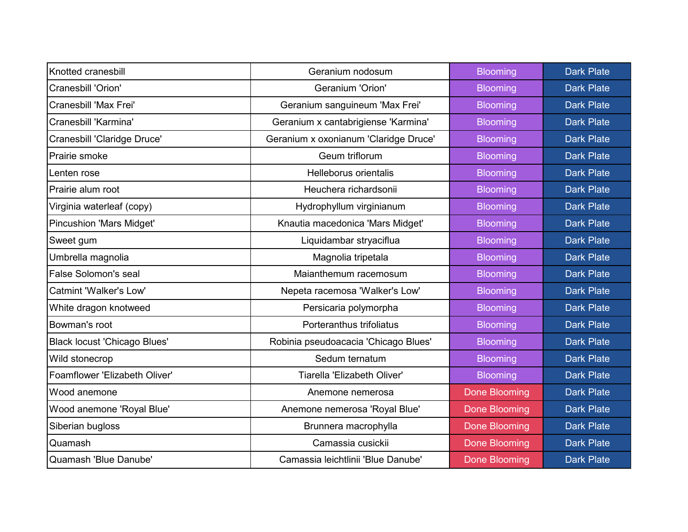| Knotted cranesbill                  | Geranium nodosum                      | <b>Blooming</b>      | <b>Dark Plate</b> |
|-------------------------------------|---------------------------------------|----------------------|-------------------|
| Cranesbill 'Orion'                  | <b>Geranium 'Orion'</b>               | <b>Blooming</b>      | <b>Dark Plate</b> |
| Cranesbill 'Max Frei'               | Geranium sanguineum 'Max Frei'        | <b>Blooming</b>      | <b>Dark Plate</b> |
| Cranesbill 'Karmina'                | Geranium x cantabrigiense 'Karmina'   | <b>Blooming</b>      | <b>Dark Plate</b> |
| Cranesbill 'Claridge Druce'         | Geranium x oxonianum 'Claridge Druce' | <b>Blooming</b>      | <b>Dark Plate</b> |
| Prairie smoke                       | Geum triflorum                        | <b>Blooming</b>      | <b>Dark Plate</b> |
| Lenten rose                         | Helleborus orientalis                 | <b>Blooming</b>      | <b>Dark Plate</b> |
| Prairie alum root                   | Heuchera richardsonii                 | <b>Blooming</b>      | <b>Dark Plate</b> |
| Virginia waterleaf (copy)           | Hydrophyllum virginianum              | <b>Blooming</b>      | <b>Dark Plate</b> |
| <b>Pincushion 'Mars Midget'</b>     | Knautia macedonica 'Mars Midget'      | <b>Blooming</b>      | <b>Dark Plate</b> |
| Sweet gum                           | Liquidambar stryaciflua               | <b>Blooming</b>      | <b>Dark Plate</b> |
| Umbrella magnolia                   | Magnolia tripetala                    | <b>Blooming</b>      | <b>Dark Plate</b> |
| <b>False Solomon's seal</b>         | Maianthemum racemosum                 | <b>Blooming</b>      | <b>Dark Plate</b> |
| Catmint 'Walker's Low'              | Nepeta racemosa 'Walker's Low'        | <b>Blooming</b>      | <b>Dark Plate</b> |
| White dragon knotweed               | Persicaria polymorpha                 | <b>Blooming</b>      | <b>Dark Plate</b> |
| Bowman's root                       | Porteranthus trifoliatus              | <b>Blooming</b>      | <b>Dark Plate</b> |
| <b>Black locust 'Chicago Blues'</b> | Robinia pseudoacacia 'Chicago Blues'  | <b>Blooming</b>      | <b>Dark Plate</b> |
| Wild stonecrop                      | Sedum ternatum                        | <b>Blooming</b>      | <b>Dark Plate</b> |
| Foamflower 'Elizabeth Oliver'       | Tiarella 'Elizabeth Oliver'           | <b>Blooming</b>      | <b>Dark Plate</b> |
| Wood anemone                        | Anemone nemerosa                      | <b>Done Blooming</b> | <b>Dark Plate</b> |
| Wood anemone 'Royal Blue'           | Anemone nemerosa 'Royal Blue'         | <b>Done Blooming</b> | <b>Dark Plate</b> |
| Siberian bugloss                    | Brunnera macrophylla                  | <b>Done Blooming</b> | <b>Dark Plate</b> |
| Quamash                             | Camassia cusickii                     | <b>Done Blooming</b> | <b>Dark Plate</b> |
| Quamash 'Blue Danube'               | Camassia leichtlinii 'Blue Danube'    | <b>Done Blooming</b> | <b>Dark Plate</b> |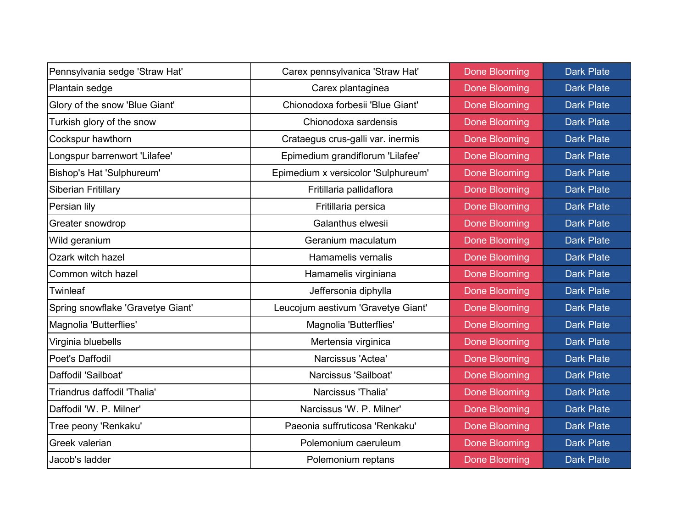| Pennsylvania sedge 'Straw Hat'    | Carex pennsylvanica 'Straw Hat'     | <b>Done Blooming</b> | <b>Dark Plate</b> |
|-----------------------------------|-------------------------------------|----------------------|-------------------|
| Plantain sedge                    | Carex plantaginea                   | <b>Done Blooming</b> | <b>Dark Plate</b> |
| Glory of the snow 'Blue Giant'    | Chionodoxa forbesii 'Blue Giant'    | <b>Done Blooming</b> | <b>Dark Plate</b> |
| Turkish glory of the snow         | Chionodoxa sardensis                | <b>Done Blooming</b> | <b>Dark Plate</b> |
| Cockspur hawthorn                 | Crataegus crus-galli var. inermis   | <b>Done Blooming</b> | <b>Dark Plate</b> |
| Longspur barrenwort 'Lilafee'     | Epimedium grandiflorum 'Lilafee'    | <b>Done Blooming</b> | <b>Dark Plate</b> |
| Bishop's Hat 'Sulphureum'         | Epimedium x versicolor 'Sulphureum' | <b>Done Blooming</b> | <b>Dark Plate</b> |
| Siberian Fritillary               | Fritillaria pallidaflora            | <b>Done Blooming</b> | <b>Dark Plate</b> |
| Persian lily                      | Fritillaria persica                 | <b>Done Blooming</b> | <b>Dark Plate</b> |
| Greater snowdrop                  | Galanthus elwesii                   | <b>Done Blooming</b> | <b>Dark Plate</b> |
| Wild geranium                     | Geranium maculatum                  | <b>Done Blooming</b> | <b>Dark Plate</b> |
| Ozark witch hazel                 | Hamamelis vernalis                  | <b>Done Blooming</b> | <b>Dark Plate</b> |
| Common witch hazel                | Hamamelis virginiana                | <b>Done Blooming</b> | <b>Dark Plate</b> |
| <b>Twinleaf</b>                   | Jeffersonia diphylla                | <b>Done Blooming</b> | <b>Dark Plate</b> |
| Spring snowflake 'Gravetye Giant' | Leucojum aestivum 'Gravetye Giant'  | <b>Done Blooming</b> | <b>Dark Plate</b> |
| Magnolia 'Butterflies'            | Magnolia 'Butterflies'              | <b>Done Blooming</b> | <b>Dark Plate</b> |
| Virginia bluebells                | Mertensia virginica                 | <b>Done Blooming</b> | <b>Dark Plate</b> |
| Poet's Daffodil                   | Narcissus 'Actea'                   | <b>Done Blooming</b> | <b>Dark Plate</b> |
| Daffodil 'Sailboat'               | Narcissus 'Sailboat'                | <b>Done Blooming</b> | <b>Dark Plate</b> |
| Triandrus daffodil 'Thalia'       | Narcissus 'Thalia'                  | <b>Done Blooming</b> | <b>Dark Plate</b> |
| Daffodil 'W. P. Milner'           | Narcissus 'W. P. Milner'            | <b>Done Blooming</b> | <b>Dark Plate</b> |
| Tree peony 'Renkaku'              | Paeonia suffruticosa 'Renkaku'      | <b>Done Blooming</b> | <b>Dark Plate</b> |
| Greek valerian                    | Polemonium caeruleum                | <b>Done Blooming</b> | <b>Dark Plate</b> |
| Jacob's ladder                    | Polemonium reptans                  | <b>Done Blooming</b> | <b>Dark Plate</b> |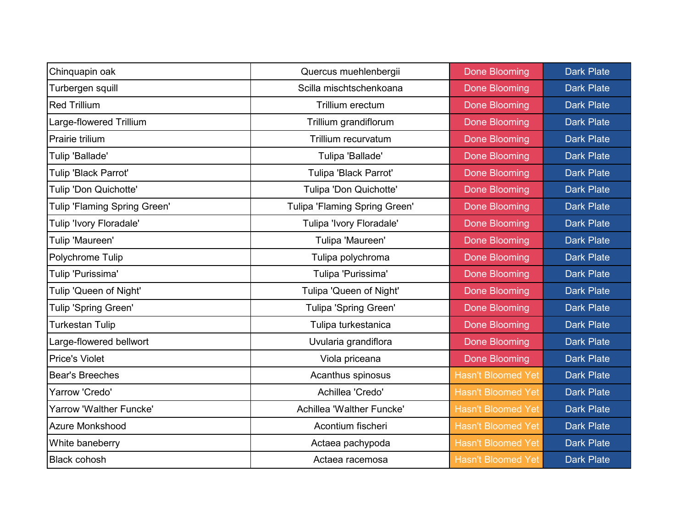| Chinquapin oak               | Quercus muehlenbergii         | <b>Done Blooming</b>      | <b>Dark Plate</b> |
|------------------------------|-------------------------------|---------------------------|-------------------|
| Turbergen squill             | Scilla mischtschenkoana       | <b>Done Blooming</b>      | <b>Dark Plate</b> |
| <b>Red Trillium</b>          | Trillium erectum              | <b>Done Blooming</b>      | <b>Dark Plate</b> |
| Large-flowered Trillium      | Trillium grandiflorum         | <b>Done Blooming</b>      | <b>Dark Plate</b> |
| Prairie trilium              | Trillium recurvatum           | <b>Done Blooming</b>      | <b>Dark Plate</b> |
| Tulip 'Ballade'              | Tulipa 'Ballade'              | <b>Done Blooming</b>      | <b>Dark Plate</b> |
| Tulip 'Black Parrot'         | Tulipa 'Black Parrot'         | <b>Done Blooming</b>      | <b>Dark Plate</b> |
| Tulip 'Don Quichotte'        | Tulipa 'Don Quichotte'        | <b>Done Blooming</b>      | <b>Dark Plate</b> |
| Tulip 'Flaming Spring Green' | Tulipa 'Flaming Spring Green' | <b>Done Blooming</b>      | <b>Dark Plate</b> |
| Tulip 'Ivory Floradale'      | Tulipa 'Ivory Floradale'      | <b>Done Blooming</b>      | <b>Dark Plate</b> |
| Tulip 'Maureen'              | Tulipa 'Maureen'              | <b>Done Blooming</b>      | <b>Dark Plate</b> |
| Polychrome Tulip             | Tulipa polychroma             | <b>Done Blooming</b>      | <b>Dark Plate</b> |
| Tulip 'Purissima'            | Tulipa 'Purissima'            | <b>Done Blooming</b>      | <b>Dark Plate</b> |
| Tulip 'Queen of Night'       | Tulipa 'Queen of Night'       | <b>Done Blooming</b>      | <b>Dark Plate</b> |
| Tulip 'Spring Green'         | Tulipa 'Spring Green'         | <b>Done Blooming</b>      | <b>Dark Plate</b> |
| <b>Turkestan Tulip</b>       | Tulipa turkestanica           | <b>Done Blooming</b>      | <b>Dark Plate</b> |
| Large-flowered bellwort      | Uvularia grandiflora          | <b>Done Blooming</b>      | <b>Dark Plate</b> |
| <b>Price's Violet</b>        | Viola priceana                | Done Blooming             | <b>Dark Plate</b> |
| <b>Bear's Breeches</b>       | Acanthus spinosus             | <b>Hasn't Bloomed Yet</b> | <b>Dark Plate</b> |
| Yarrow 'Credo'               | Achillea 'Credo'              | <b>Hasn't Bloomed Yet</b> | <b>Dark Plate</b> |
| Yarrow 'Walther Funcke'      | Achillea 'Walther Funcke'     | <b>Hasn't Bloomed Yet</b> | <b>Dark Plate</b> |
| <b>Azure Monkshood</b>       | Acontium fischeri             | <b>Hasn't Bloomed Yet</b> | <b>Dark Plate</b> |
| White baneberry              | Actaea pachypoda              | <b>Hasn't Bloomed Yet</b> | <b>Dark Plate</b> |
| <b>Black cohosh</b>          | Actaea racemosa               | <b>Hasn't Bloomed Yet</b> | <b>Dark Plate</b> |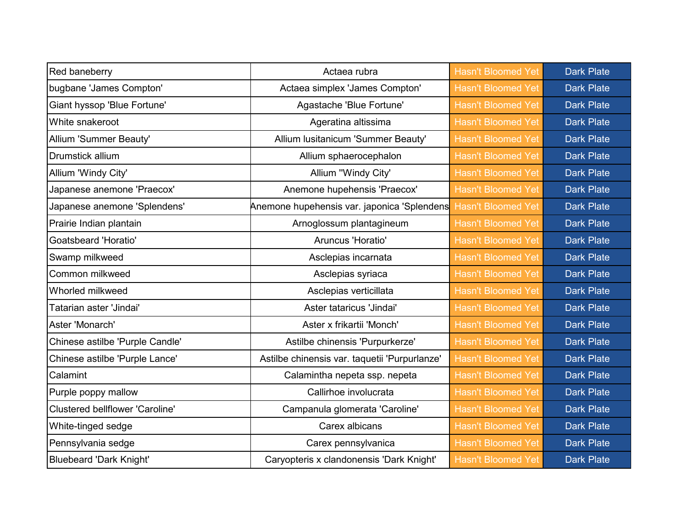| Red baneberry                   | Actaea rubra                                  | <b>Hasn't Bloomed Yet</b> | <b>Dark Plate</b> |
|---------------------------------|-----------------------------------------------|---------------------------|-------------------|
| bugbane 'James Compton'         | Actaea simplex 'James Compton'                | <b>Hasn't Bloomed Yet</b> | <b>Dark Plate</b> |
| Giant hyssop 'Blue Fortune'     | Agastache 'Blue Fortune'                      | <b>Hasn't Bloomed Yet</b> | <b>Dark Plate</b> |
| White snakeroot                 | Ageratina altissima                           | <b>Hasn't Bloomed Yet</b> | <b>Dark Plate</b> |
| Allium 'Summer Beauty'          | Allium Iusitanicum 'Summer Beauty'            | <b>Hasn't Bloomed Yet</b> | <b>Dark Plate</b> |
| <b>Drumstick allium</b>         | Allium sphaerocephalon                        | <b>Hasn't Bloomed Yet</b> | <b>Dark Plate</b> |
| Allium 'Windy City'             | Allium "Windy City'                           | <b>Hasn't Bloomed Yet</b> | <b>Dark Plate</b> |
| Japanese anemone 'Praecox'      | Anemone hupehensis 'Praecox'                  | <b>Hasn't Bloomed Yet</b> | <b>Dark Plate</b> |
| Japanese anemone 'Splendens'    | Anemone hupehensis var. japonica 'Splendens   | <b>Hasn't Bloomed Yet</b> | <b>Dark Plate</b> |
| Prairie Indian plantain         | Arnoglossum plantagineum                      | <b>Hasn't Bloomed Yet</b> | <b>Dark Plate</b> |
| <b>Goatsbeard 'Horatio'</b>     | Aruncus 'Horatio'                             | <b>Hasn't Bloomed Yet</b> | <b>Dark Plate</b> |
| Swamp milkweed                  | Asclepias incarnata                           | <b>Hasn't Bloomed Yet</b> | <b>Dark Plate</b> |
| Common milkweed                 | Asclepias syriaca                             | <b>Hasn't Bloomed Yet</b> | <b>Dark Plate</b> |
| Whorled milkweed                | Asclepias verticillata                        | <b>Hasn't Bloomed Yet</b> | <b>Dark Plate</b> |
| Tatarian aster 'Jindai'         | Aster tataricus 'Jindai'                      | <b>Hasn't Bloomed Yet</b> | <b>Dark Plate</b> |
| Aster 'Monarch'                 | Aster x frikartii 'Monch'                     | <b>Hasn't Bloomed Yet</b> | <b>Dark Plate</b> |
| Chinese astilbe 'Purple Candle' | Astilbe chinensis 'Purpurkerze'               | <b>Hasn't Bloomed Yet</b> | <b>Dark Plate</b> |
| Chinese astilbe 'Purple Lance'  | Astilbe chinensis var. taquetii 'Purpurlanze' | <b>Hasn't Bloomed Yet</b> | <b>Dark Plate</b> |
| Calamint                        | Calamintha nepeta ssp. nepeta                 | <b>Hasn't Bloomed Yet</b> | <b>Dark Plate</b> |
| Purple poppy mallow             | Callirhoe involucrata                         | <b>Hasn't Bloomed Yet</b> | <b>Dark Plate</b> |
| Clustered bellflower 'Caroline' | Campanula glomerata 'Caroline'                | <b>Hasn't Bloomed Yet</b> | <b>Dark Plate</b> |
| White-tinged sedge              | Carex albicans                                | <b>Hasn't Bloomed Yet</b> | <b>Dark Plate</b> |
| Pennsylvania sedge              | Carex pennsylvanica                           | <b>Hasn't Bloomed Yet</b> | <b>Dark Plate</b> |
| <b>Bluebeard 'Dark Knight'</b>  | Caryopteris x clandonensis 'Dark Knight'      | <b>Hasn't Bloomed Yet</b> | <b>Dark Plate</b> |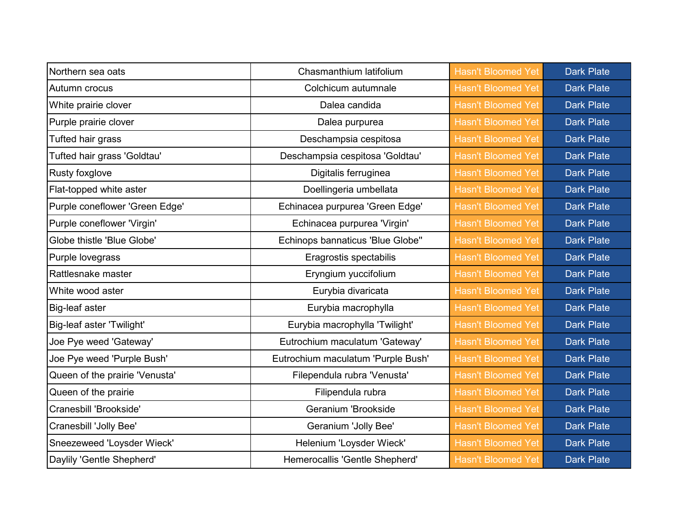| Northern sea oats              | Chasmanthium latifolium            | <b>Hasn't Bloomed Yet</b> | <b>Dark Plate</b> |
|--------------------------------|------------------------------------|---------------------------|-------------------|
| Autumn crocus                  | Colchicum autumnale                | <b>Hasn't Bloomed Yet</b> | <b>Dark Plate</b> |
| White prairie clover           | Dalea candida                      | <b>Hasn't Bloomed Yet</b> | <b>Dark Plate</b> |
| Purple prairie clover          | Dalea purpurea                     | <b>Hasn't Bloomed Yet</b> | <b>Dark Plate</b> |
| Tufted hair grass              | Deschampsia cespitosa              | <b>Hasn't Bloomed Yet</b> | <b>Dark Plate</b> |
| Tufted hair grass 'Goldtau'    | Deschampsia cespitosa 'Goldtau'    | <b>Hasn't Bloomed Yet</b> | <b>Dark Plate</b> |
| Rusty foxglove                 | Digitalis ferruginea               | <b>Hasn't Bloomed Yet</b> | <b>Dark Plate</b> |
| Flat-topped white aster        | Doellingeria umbellata             | <b>Hasn't Bloomed Yet</b> | <b>Dark Plate</b> |
| Purple coneflower 'Green Edge' | Echinacea purpurea 'Green Edge'    | <b>Hasn't Bloomed Yet</b> | <b>Dark Plate</b> |
| Purple coneflower 'Virgin'     | Echinacea purpurea 'Virgin'        | <b>Hasn't Bloomed Yet</b> | <b>Dark Plate</b> |
| Globe thistle 'Blue Globe'     | Echinops bannaticus 'Blue Globe"   | <b>Hasn't Bloomed Yet</b> | <b>Dark Plate</b> |
| Purple lovegrass               | Eragrostis spectabilis             | <b>Hasn't Bloomed Yet</b> | <b>Dark Plate</b> |
| Rattlesnake master             | Eryngium yuccifolium               | <b>Hasn't Bloomed Yet</b> | <b>Dark Plate</b> |
| White wood aster               | Eurybia divaricata                 | <b>Hasn't Bloomed Yet</b> | <b>Dark Plate</b> |
| Big-leaf aster                 | Eurybia macrophylla                | <b>Hasn't Bloomed Yet</b> | <b>Dark Plate</b> |
| Big-leaf aster 'Twilight'      | Eurybia macrophylla 'Twilight'     | <b>Hasn't Bloomed Yet</b> | <b>Dark Plate</b> |
| Joe Pye weed 'Gateway'         | Eutrochium maculatum 'Gateway'     | <b>Hasn't Bloomed Yet</b> | <b>Dark Plate</b> |
| Joe Pye weed 'Purple Bush'     | Eutrochium maculatum 'Purple Bush' | <b>Hasn't Bloomed Yet</b> | <b>Dark Plate</b> |
| Queen of the prairie 'Venusta' | Filependula rubra 'Venusta'        | <b>Hasn't Bloomed Yet</b> | <b>Dark Plate</b> |
| Queen of the prairie           | Filipendula rubra                  | <b>Hasn't Bloomed Yet</b> | <b>Dark Plate</b> |
| Cranesbill 'Brookside'         | Geranium 'Brookside                | <b>Hasn't Bloomed Yet</b> | <b>Dark Plate</b> |
| Cranesbill 'Jolly Bee'         | Geranium 'Jolly Bee'               | <b>Hasn't Bloomed Yet</b> | <b>Dark Plate</b> |
| Sneezeweed 'Loysder Wieck'     | Helenium 'Loysder Wieck'           | <b>Hasn't Bloomed Yet</b> | <b>Dark Plate</b> |
| Daylily 'Gentle Shepherd'      | Hemerocallis 'Gentle Shepherd'     | <b>Hasn't Bloomed Yet</b> | <b>Dark Plate</b> |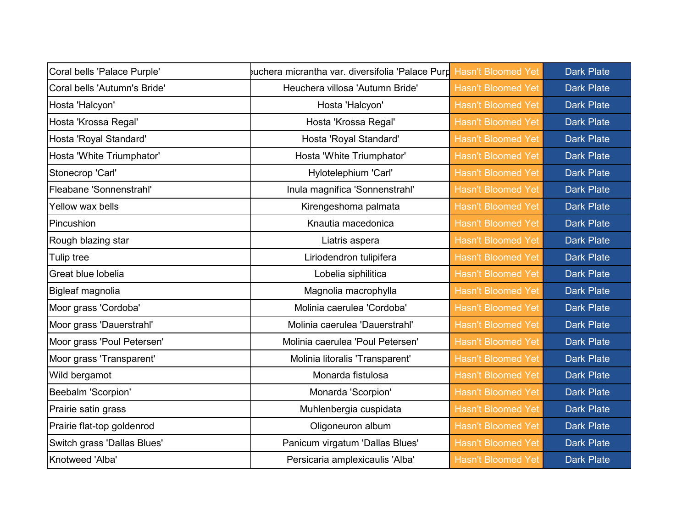| Coral bells 'Palace Purple'  | uchera micrantha var. diversifolia 'Palace Purp Hasn't Bloomed Yet |                           | <b>Dark Plate</b> |
|------------------------------|--------------------------------------------------------------------|---------------------------|-------------------|
| Coral bells 'Autumn's Bride' | Heuchera villosa 'Autumn Bride'                                    | <b>Hasn't Bloomed Yet</b> | <b>Dark Plate</b> |
| Hosta 'Halcyon'              | Hosta 'Halcyon'                                                    | <b>Hasn't Bloomed Yet</b> | <b>Dark Plate</b> |
| Hosta 'Krossa Regal'         | Hosta 'Krossa Regal'                                               | <b>Hasn't Bloomed Yet</b> | <b>Dark Plate</b> |
| Hosta 'Royal Standard'       | Hosta 'Royal Standard'                                             | <b>Hasn't Bloomed Yet</b> | <b>Dark Plate</b> |
| Hosta 'White Triumphator'    | Hosta 'White Triumphator'                                          | <b>Hasn't Bloomed Yet</b> | <b>Dark Plate</b> |
| Stonecrop 'Carl'             | Hylotelephium 'Carl'                                               | <b>Hasn't Bloomed Yet</b> | <b>Dark Plate</b> |
| Fleabane 'Sonnenstrahl'      | Inula magnifica 'Sonnenstrahl'                                     | <b>Hasn't Bloomed Yet</b> | <b>Dark Plate</b> |
| Yellow wax bells             | Kirengeshoma palmata                                               | <b>Hasn't Bloomed Yet</b> | <b>Dark Plate</b> |
| Pincushion                   | Knautia macedonica                                                 | <b>Hasn't Bloomed Yet</b> | <b>Dark Plate</b> |
| Rough blazing star           | Liatris aspera                                                     | <b>Hasn't Bloomed Yet</b> | <b>Dark Plate</b> |
| Tulip tree                   | Liriodendron tulipifera                                            | <b>Hasn't Bloomed Yet</b> | <b>Dark Plate</b> |
| Great blue lobelia           | Lobelia siphilitica                                                | <b>Hasn't Bloomed Yet</b> | <b>Dark Plate</b> |
| Bigleaf magnolia             | Magnolia macrophylla                                               | <b>Hasn't Bloomed Yet</b> | <b>Dark Plate</b> |
| Moor grass 'Cordoba'         | Molinia caerulea 'Cordoba'                                         | <b>Hasn't Bloomed Yet</b> | <b>Dark Plate</b> |
| Moor grass 'Dauerstrahl'     | Molinia caerulea 'Dauerstrahl'                                     | <b>Hasn't Bloomed Yet</b> | <b>Dark Plate</b> |
| Moor grass 'Poul Petersen'   | Molinia caerulea 'Poul Petersen'                                   | <b>Hasn't Bloomed Yet</b> | <b>Dark Plate</b> |
| Moor grass 'Transparent'     | Molinia litoralis 'Transparent'                                    | <b>Hasn't Bloomed Yet</b> | <b>Dark Plate</b> |
| Wild bergamot                | Monarda fistulosa                                                  | <b>Hasn't Bloomed Yet</b> | <b>Dark Plate</b> |
| Beebalm 'Scorpion'           | Monarda 'Scorpion'                                                 | <b>Hasn't Bloomed Yet</b> | <b>Dark Plate</b> |
| Prairie satin grass          | Muhlenbergia cuspidata                                             | <b>Hasn't Bloomed Yet</b> | <b>Dark Plate</b> |
| Prairie flat-top goldenrod   | Oligoneuron album                                                  | <b>Hasn't Bloomed Yet</b> | <b>Dark Plate</b> |
| Switch grass 'Dallas Blues'  | Panicum virgatum 'Dallas Blues'                                    | <b>Hasn't Bloomed Yet</b> | <b>Dark Plate</b> |
| Knotweed 'Alba'              | Persicaria amplexicaulis 'Alba'                                    | <b>Hasn't Bloomed Yet</b> | <b>Dark Plate</b> |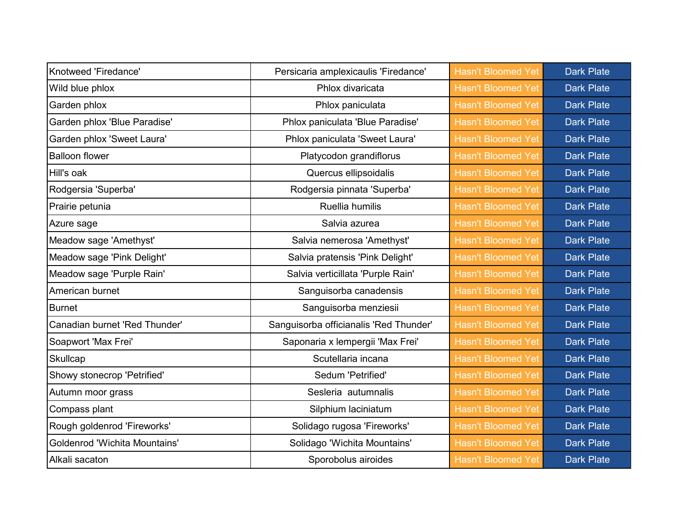| Knotweed 'Firedance'                 | Persicaria amplexicaulis 'Firedance'   | <b>Hasn't Bloomed Yet</b> | <b>Dark Plate</b> |
|--------------------------------------|----------------------------------------|---------------------------|-------------------|
| Wild blue phlox                      | Phlox divaricata                       | <b>Hasn't Bloomed Yet</b> | <b>Dark Plate</b> |
| Garden phlox                         | Phlox paniculata                       | <b>Hasn't Bloomed Yet</b> | <b>Dark Plate</b> |
| Garden phlox 'Blue Paradise'         | Phlox paniculata 'Blue Paradise'       | <b>Hasn't Bloomed Yet</b> | <b>Dark Plate</b> |
| Garden phlox 'Sweet Laura'           | Phlox paniculata 'Sweet Laura'         | <b>Hasn't Bloomed Yet</b> | <b>Dark Plate</b> |
| <b>Balloon flower</b>                | Platycodon grandiflorus                | <b>Hasn't Bloomed Yet</b> | <b>Dark Plate</b> |
| Hill's oak                           | Quercus ellipsoidalis                  | <b>Hasn't Bloomed Yet</b> | <b>Dark Plate</b> |
| Rodgersia 'Superba'                  | Rodgersia pinnata 'Superba'            | <b>Hasn't Bloomed Yet</b> | <b>Dark Plate</b> |
| Prairie petunia                      | Ruellia humilis                        | <b>Hasn't Bloomed Yet</b> | <b>Dark Plate</b> |
| Azure sage                           | Salvia azurea                          | <b>Hasn't Bloomed Yet</b> | <b>Dark Plate</b> |
| Meadow sage 'Amethyst'               | Salvia nemerosa 'Amethyst'             | <b>Hasn't Bloomed Yet</b> | <b>Dark Plate</b> |
| Meadow sage 'Pink Delight'           | Salvia pratensis 'Pink Delight'        | <b>Hasn't Bloomed Yet</b> | <b>Dark Plate</b> |
| Meadow sage 'Purple Rain'            | Salvia verticillata 'Purple Rain'      | <b>Hasn't Bloomed Yet</b> | <b>Dark Plate</b> |
| American burnet                      | Sanguisorba canadensis                 | <b>Hasn't Bloomed Yet</b> | <b>Dark Plate</b> |
| <b>Burnet</b>                        | Sanguisorba menziesii                  | <b>Hasn't Bloomed Yet</b> | <b>Dark Plate</b> |
| Canadian burnet 'Red Thunder'        | Sanguisorba officianalis 'Red Thunder' | <b>Hasn't Bloomed Yet</b> | <b>Dark Plate</b> |
| Soapwort 'Max Frei'                  | Saponaria x lempergii 'Max Frei'       | <b>Hasn't Bloomed Yet</b> | <b>Dark Plate</b> |
| Skullcap                             | Scutellaria incana                     | <b>Hasn't Bloomed Yet</b> | <b>Dark Plate</b> |
| Showy stonecrop 'Petrified'          | Sedum 'Petrified'                      | <b>Hasn't Bloomed Yet</b> | <b>Dark Plate</b> |
| Autumn moor grass                    | Sesleria autumnalis                    | <b>Hasn't Bloomed Yet</b> | <b>Dark Plate</b> |
| Compass plant                        | Silphium laciniatum                    | <b>Hasn't Bloomed Yet</b> | <b>Dark Plate</b> |
| Rough goldenrod 'Fireworks'          | Solidago rugosa 'Fireworks'            | <b>Hasn't Bloomed Yet</b> | <b>Dark Plate</b> |
| <b>Goldenrod 'Wichita Mountains'</b> | Solidago 'Wichita Mountains'           | <b>Hasn't Bloomed Yet</b> | <b>Dark Plate</b> |
| Alkali sacaton                       | Sporobolus airoides                    | <b>Hasn't Bloomed Yet</b> | <b>Dark Plate</b> |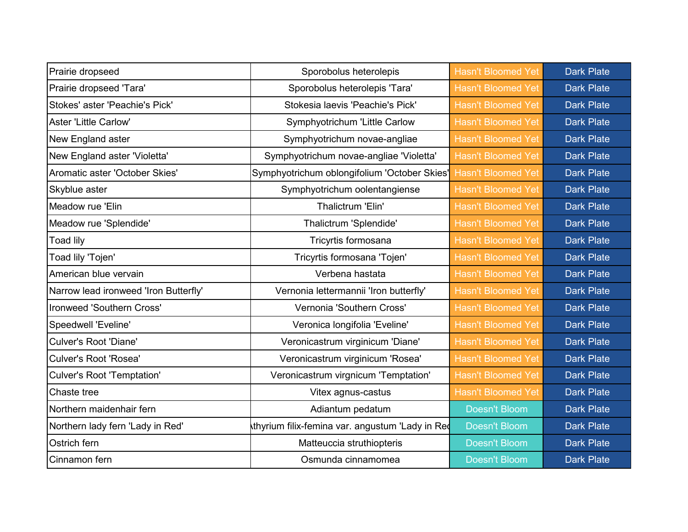| Prairie dropseed                      | Sporobolus heterolepis                          | <b>Hasn't Bloomed Yet</b> | <b>Dark Plate</b> |
|---------------------------------------|-------------------------------------------------|---------------------------|-------------------|
| Prairie dropseed 'Tara'               | Sporobolus heterolepis 'Tara'                   | <b>Hasn't Bloomed Yet</b> | <b>Dark Plate</b> |
| Stokes' aster 'Peachie's Pick'        | Stokesia laevis 'Peachie's Pick'                | <b>Hasn't Bloomed Yet</b> | <b>Dark Plate</b> |
| <b>Aster 'Little Carlow'</b>          | Symphyotrichum 'Little Carlow                   | <b>Hasn't Bloomed Yet</b> | <b>Dark Plate</b> |
| New England aster                     | Symphyotrichum novae-angliae                    | <b>Hasn't Bloomed Yet</b> | <b>Dark Plate</b> |
| New England aster 'Violetta'          | Symphyotrichum novae-angliae 'Violetta'         | <b>Hasn't Bloomed Yet</b> | <b>Dark Plate</b> |
| Aromatic aster 'October Skies'        | Symphyotrichum oblongifolium 'October Skies'    | <b>Hasn't Bloomed Yet</b> | <b>Dark Plate</b> |
| Skyblue aster                         | Symphyotrichum oolentangiense                   | <b>Hasn't Bloomed Yet</b> | <b>Dark Plate</b> |
| Meadow rue 'Elin                      | Thalictrum 'Elin'                               | <b>Hasn't Bloomed Yet</b> | <b>Dark Plate</b> |
| Meadow rue 'Splendide'                | Thalictrum 'Splendide'                          | <b>Hasn't Bloomed Yet</b> | <b>Dark Plate</b> |
| <b>Toad lily</b>                      | Tricyrtis formosana                             | <b>Hasn't Bloomed Yet</b> | <b>Dark Plate</b> |
| Toad lily 'Tojen'                     | Tricyrtis formosana 'Tojen'                     | <b>Hasn't Bloomed Yet</b> | <b>Dark Plate</b> |
| American blue vervain                 | Verbena hastata                                 | <b>Hasn't Bloomed Yet</b> | <b>Dark Plate</b> |
| Narrow lead ironweed 'Iron Butterfly' | Vernonia lettermannii 'Iron butterfly'          | <b>Hasn't Bloomed Yet</b> | <b>Dark Plate</b> |
| Ironweed 'Southern Cross'             | Vernonia 'Southern Cross'                       | <b>Hasn't Bloomed Yet</b> | <b>Dark Plate</b> |
| <b>Speedwell 'Eveline'</b>            | Veronica longifolia 'Eveline'                   | <b>Hasn't Bloomed Yet</b> | <b>Dark Plate</b> |
| <b>Culver's Root 'Diane'</b>          | Veronicastrum virginicum 'Diane'                | <b>Hasn't Bloomed Yet</b> | <b>Dark Plate</b> |
| <b>Culver's Root 'Rosea'</b>          | Veronicastrum virginicum 'Rosea'                | <b>Hasn't Bloomed Yet</b> | <b>Dark Plate</b> |
| <b>Culver's Root 'Temptation'</b>     | Veronicastrum virgnicum 'Temptation'            | <b>Hasn't Bloomed Yet</b> | <b>Dark Plate</b> |
| Chaste tree                           | Vitex agnus-castus                              | <b>Hasn't Bloomed Yet</b> | <b>Dark Plate</b> |
| Northern maidenhair fern              | Adiantum pedatum                                | <b>Doesn't Bloom</b>      | <b>Dark Plate</b> |
| Northern lady fern 'Lady in Red'      | thyrium filix-femina var. angustum 'Lady in Red | <b>Doesn't Bloom</b>      | <b>Dark Plate</b> |
| Ostrich fern                          | Matteuccia struthiopteris                       | <b>Doesn't Bloom</b>      | <b>Dark Plate</b> |
| Cinnamon fern                         | Osmunda cinnamomea                              | <b>Doesn't Bloom</b>      | <b>Dark Plate</b> |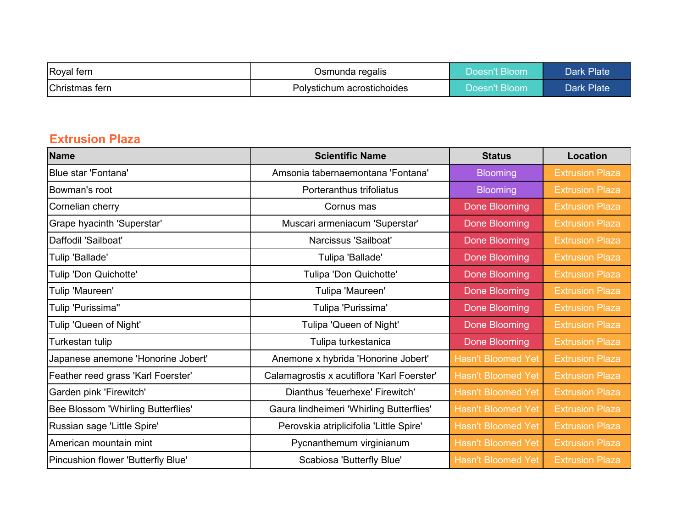| Royal fern     | Osmunda regalis            | Doesn't Bloom | Dark Plate |
|----------------|----------------------------|---------------|------------|
| Christmas fern | Polystichum acrostichoides | Doesn't Bloom | Dark Plate |

#### **Extrusion Plaza**

| <b>Name</b>                        | <b>Scientific Name</b>                     | <b>Status</b>             | <b>Location</b>        |
|------------------------------------|--------------------------------------------|---------------------------|------------------------|
| Blue star 'Fontana'                | Amsonia tabernaemontana 'Fontana'          | <b>Blooming</b>           | <b>Extrusion Plaza</b> |
| Bowman's root                      | Porteranthus trifoliatus                   | <b>Blooming</b>           | <b>Extrusion Plaza</b> |
| Cornelian cherry                   | Cornus mas                                 | <b>Done Blooming</b>      | <b>Extrusion Plaza</b> |
| Grape hyacinth 'Superstar'         | Muscari armeniacum 'Superstar'             | <b>Done Blooming</b>      | <b>Extrusion Plaza</b> |
| Daffodil 'Sailboat'                | Narcissus 'Sailboat'                       | <b>Done Blooming</b>      | <b>Extrusion Plaza</b> |
| Tulip 'Ballade'                    | Tulipa 'Ballade'                           | <b>Done Blooming</b>      | <b>Extrusion Plaza</b> |
| Tulip 'Don Quichotte'              | Tulipa 'Don Quichotte'                     | <b>Done Blooming</b>      | <b>Extrusion Plaza</b> |
| Tulip 'Maureen'                    | Tulipa 'Maureen'                           | <b>Done Blooming</b>      | <b>Extrusion Plaza</b> |
| Tulip 'Purissima"                  | Tulipa 'Purissima'                         | <b>Done Blooming</b>      | <b>Extrusion Plaza</b> |
| Tulip 'Queen of Night'             | Tulipa 'Queen of Night'                    | <b>Done Blooming</b>      | <b>Extrusion Plaza</b> |
| Turkestan tulip                    | Tulipa turkestanica                        | <b>Done Blooming</b>      | <b>Extrusion Plaza</b> |
| Japanese anemone 'Honorine Jobert' | Anemone x hybrida 'Honorine Jobert'        | <b>Hasn't Bloomed Yet</b> | <b>Extrusion Plaza</b> |
| Feather reed grass 'Karl Foerster' | Calamagrostis x acutiflora 'Karl Foerster' | <b>Hasn't Bloomed Yet</b> | <b>Extrusion Plaza</b> |
| Garden pink 'Firewitch'            | Dianthus 'feuerhexe' Firewitch'            | <b>Hasn't Bloomed Yet</b> | <b>Extrusion Plaza</b> |
| Bee Blossom 'Whirling Butterflies' | Gaura lindheimeri 'Whirling Butterflies'   | <b>Hasn't Bloomed Yet</b> | <b>Extrusion Plaza</b> |
| Russian sage 'Little Spire'        | Perovskia atriplicifolia 'Little Spire'    | <b>Hasn't Bloomed Yet</b> | <b>Extrusion Plaza</b> |
| American mountain mint             | Pycnanthemum virginianum                   | <b>Hasn't Bloomed Yet</b> | <b>Extrusion Plaza</b> |
| Pincushion flower 'Butterfly Blue' | Scabiosa 'Butterfly Blue'                  | <b>Hasn't Bloomed Yet</b> | <b>Extrusion Plaza</b> |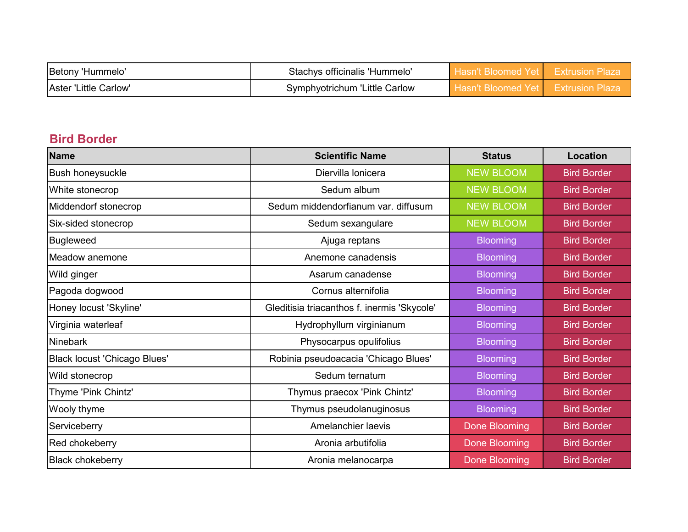| Betony<br>'Hummelo'   | Stachys officinalis 'Hummelo' | Hasn't Bloomed | <del>'E</del> xtrusion Plaza |
|-----------------------|-------------------------------|----------------|------------------------------|
| Aster 'Little Carlow' | Symphyotrichum 'Little Carlow | n't Bloomed    | Extrusion Plaza              |

### **Bird Border**

| <b>Name</b>                         | <b>Scientific Name</b>                      | <b>Status</b>        | <b>Location</b>    |
|-------------------------------------|---------------------------------------------|----------------------|--------------------|
| <b>Bush honeysuckle</b>             | Diervilla lonicera                          | <b>NEW BLOOM</b>     | <b>Bird Border</b> |
| White stonecrop                     | Sedum album                                 | <b>NEW BLOOM</b>     | <b>Bird Border</b> |
| Middendorf stonecrop                | Sedum middendorfianum var. diffusum         | <b>NEW BLOOM</b>     | <b>Bird Border</b> |
| Six-sided stonecrop                 | Sedum sexangulare                           | <b>NEW BLOOM</b>     | <b>Bird Border</b> |
| <b>Bugleweed</b>                    | Ajuga reptans                               | <b>Blooming</b>      | <b>Bird Border</b> |
| Meadow anemone                      | Anemone canadensis                          | <b>Blooming</b>      | <b>Bird Border</b> |
| Wild ginger                         | Asarum canadense                            | <b>Blooming</b>      | <b>Bird Border</b> |
| Pagoda dogwood                      | Cornus alternifolia                         | <b>Blooming</b>      | <b>Bird Border</b> |
| Honey locust 'Skyline'              | Gleditisia triacanthos f. inermis 'Skycole' | <b>Blooming</b>      | <b>Bird Border</b> |
| Virginia waterleaf                  | Hydrophyllum virginianum                    | <b>Blooming</b>      | <b>Bird Border</b> |
| <b>Ninebark</b>                     | Physocarpus opulifolius                     | <b>Blooming</b>      | <b>Bird Border</b> |
| <b>Black locust 'Chicago Blues'</b> | Robinia pseudoacacia 'Chicago Blues'        | <b>Blooming</b>      | <b>Bird Border</b> |
| Wild stonecrop                      | Sedum ternatum                              | <b>Blooming</b>      | <b>Bird Border</b> |
| Thyme 'Pink Chintz'                 | Thymus praecox 'Pink Chintz'                | <b>Blooming</b>      | <b>Bird Border</b> |
| Wooly thyme                         | Thymus pseudolanuginosus                    | <b>Blooming</b>      | <b>Bird Border</b> |
| Serviceberry                        | Amelanchier laevis                          | <b>Done Blooming</b> | <b>Bird Border</b> |
| Red chokeberry                      | Aronia arbutifolia                          | <b>Done Blooming</b> | <b>Bird Border</b> |
| <b>Black chokeberry</b>             | Aronia melanocarpa                          | <b>Done Blooming</b> | <b>Bird Border</b> |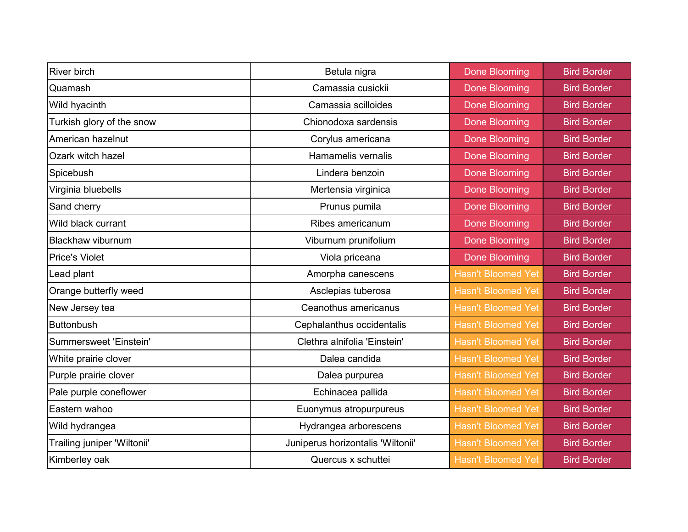| <b>River birch</b>          | Betula nigra                      | <b>Done Blooming</b>      | <b>Bird Border</b> |
|-----------------------------|-----------------------------------|---------------------------|--------------------|
| Quamash                     | Camassia cusickii                 | <b>Done Blooming</b>      | <b>Bird Border</b> |
| Wild hyacinth               | Camassia scilloides               | <b>Done Blooming</b>      | <b>Bird Border</b> |
| Turkish glory of the snow   | Chionodoxa sardensis              | <b>Done Blooming</b>      | <b>Bird Border</b> |
| American hazelnut           | Corylus americana                 | <b>Done Blooming</b>      | <b>Bird Border</b> |
| Ozark witch hazel           | Hamamelis vernalis                | <b>Done Blooming</b>      | <b>Bird Border</b> |
| Spicebush                   | Lindera benzoin                   | <b>Done Blooming</b>      | <b>Bird Border</b> |
| Virginia bluebells          | Mertensia virginica               | <b>Done Blooming</b>      | <b>Bird Border</b> |
| Sand cherry                 | Prunus pumila                     | <b>Done Blooming</b>      | <b>Bird Border</b> |
| Wild black currant          | Ribes americanum                  | <b>Done Blooming</b>      | <b>Bird Border</b> |
| <b>Blackhaw viburnum</b>    | Viburnum prunifolium              | <b>Done Blooming</b>      | <b>Bird Border</b> |
| <b>Price's Violet</b>       | Viola priceana                    | <b>Done Blooming</b>      | <b>Bird Border</b> |
| Lead plant                  | Amorpha canescens                 | <b>Hasn't Bloomed Yet</b> | <b>Bird Border</b> |
| Orange butterfly weed       | Asclepias tuberosa                | <b>Hasn't Bloomed Yet</b> | <b>Bird Border</b> |
| New Jersey tea              | Ceanothus americanus              | <b>Hasn't Bloomed Yet</b> | <b>Bird Border</b> |
| <b>Buttonbush</b>           | Cephalanthus occidentalis         | <b>Hasn't Bloomed Yet</b> | <b>Bird Border</b> |
| Summersweet 'Einstein'      | Clethra alnifolia 'Einstein'      | <b>Hasn't Bloomed Yet</b> | <b>Bird Border</b> |
| White prairie clover        | Dalea candida                     | <b>Hasn't Bloomed Yet</b> | <b>Bird Border</b> |
| Purple prairie clover       | Dalea purpurea                    | <b>Hasn't Bloomed Yet</b> | <b>Bird Border</b> |
| Pale purple coneflower      | Echinacea pallida                 | <b>Hasn't Bloomed Yet</b> | <b>Bird Border</b> |
| Eastern wahoo               | Euonymus atropurpureus            | <b>Hasn't Bloomed Yet</b> | <b>Bird Border</b> |
| Wild hydrangea              | Hydrangea arborescens             | <b>Hasn't Bloomed Yet</b> | <b>Bird Border</b> |
| Trailing juniper 'Wiltonii' | Juniperus horizontalis 'Wiltonii' | <b>Hasn't Bloomed Yet</b> | <b>Bird Border</b> |
| Kimberley oak               | Quercus x schuttei                | <b>Hasn't Bloomed Yet</b> | <b>Bird Border</b> |